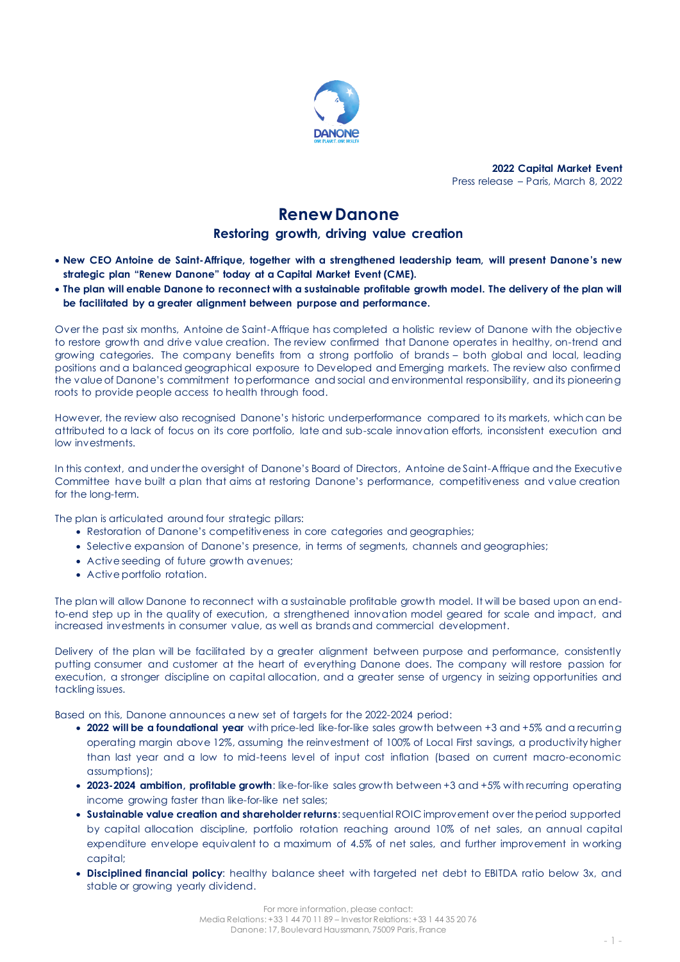

**2022 Capital Market Event** Press release – Paris, March 8, 2022

# **Renew Danone**

**Restoring growth, driving value creation**

- **New CEO Antoine de Saint-Affrique, together with a strengthened leadership team, will present Danone's new strategic plan "Renew Danone" today at a Capital Market Event (CME).**
- **The plan will enable Danone to reconnect with a sustainable profitable growth model. The delivery of the plan will be facilitated by a greater alignment between purpose and performance.**

Over the past six months, Antoine de Saint-Affrique has completed a holistic review of Danone with the objective to restore growth and drive value creation. The review confirmed that Danone operates in healthy, on-trend and growing categories. The company benefits from a strong portfolio of brands – both global and local, leading positions and a balanced geographical exposure to Developed and Emerging markets. The review also confirmed the value of Danone's commitment to performance and social and environmental responsibility, and its pioneering roots to provide people access to health through food.

However, the review also recognised Danone's historic underperformance compared to its markets, which can be attributed to a lack of focus on its core portfolio, late and sub-scale innovation efforts, inconsistent execution and low investments.

In this context, and under the oversight of Danone's Board of Directors, Antoine de Saint-Affrique and the Executive Committee have built a plan that aims at restoring Danone's performance, competitiveness and value creation for the long-term.

The plan is articulated around four strategic pillars:

- Restoration of Danone's competitiveness in core categories and geographies;
- Selective expansion of Danone's presence, in terms of segments, channels and geographies;
- Active seeding of future growth avenues;
- Active portfolio rotation.

The plan will allow Danone to reconnect with a sustainable profitable growth model. It will be based upon an endto-end step up in the quality of execution, a strengthened innovation model geared for scale and impact, and increased investments in consumer value, as well as brands and commercial development.

Delivery of the plan will be facilitated by a greater alignment between purpose and performance, consistently putting consumer and customer at the heart of everything Danone does. The company will restore passion for execution, a stronger discipline on capital allocation, and a greater sense of urgency in seizing opportunities and tackling issues.

Based on this, Danone announces a new set of targets for the 2022-2024 period:

- 2022 will be a foundational year with price-led like-for-like sales growth between +3 and +5% and a recurring operating margin above 12%, assuming the reinvestment of 100% of Local First savings, a productivity higher than last year and a low to mid-teens level of input cost inflation (based on current macro-economic assumptions);
- **2023-2024 ambition, profitable growth**: like-for-like sales growth between +3 and +5% with recurring operating income growing faster than like-for-like net sales;
- **Sustainable value creation and shareholder returns**: sequential ROIC improvement over the period supported by capital allocation discipline, portfolio rotation reaching around 10% of net sales, an annual capital expenditure envelope equivalent to a maximum of 4.5% of net sales, and further improvement in working capital;
- **Disciplined financial policy**: healthy balance sheet with targeted net debt to EBITDA ratio below 3x, and stable or growing yearly dividend.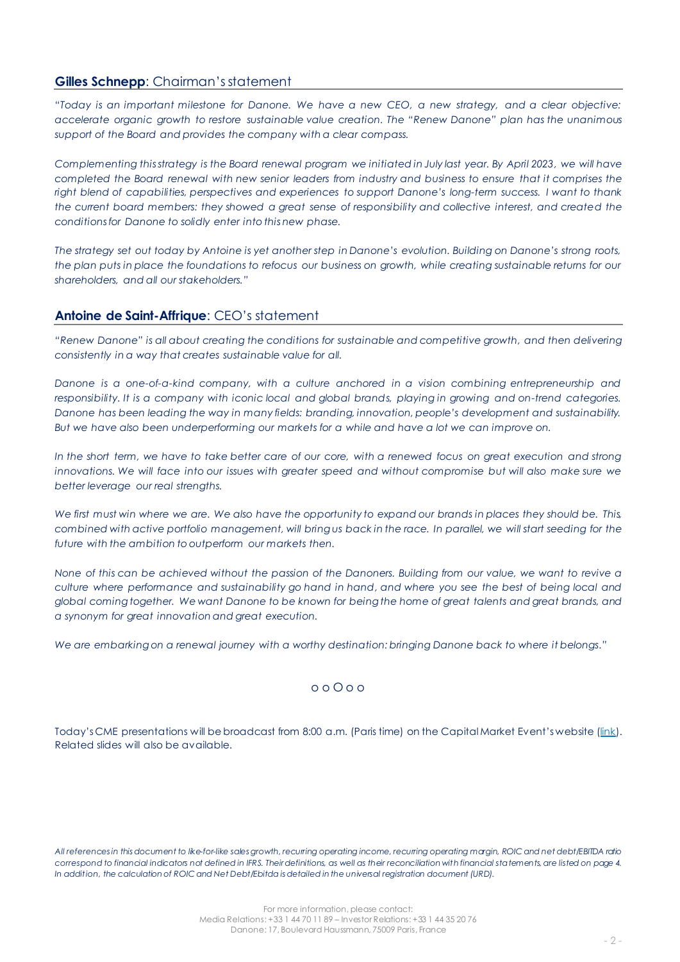#### **Gilles Schnepp:** Chairman's statement

*"Today is an important milestone for Danone. We have a new CEO, a new strategy, and a clear objective: accelerate organic growth to restore sustainable value creation. The "Renew Danone" plan has the unanimous support of the Board and provides the company with a clear compass.*

*Complementing this strategy is the Board renewal program we initiated in July last year. By April 2023, we will have completed the Board renewal with new senior leaders from industry and business to ensure that it comprises the right blend of capabilities, perspectives and experiences to support Danone's long-term success. I want to thank the current board members: they showed a great sense of responsibility and collective interest, and created the conditions for Danone to solidly enter into this new phase.* 

*The strategy set out today by Antoine is yet another step in Danone's evolution. Building on Danone's strong roots, the plan puts in place the foundations to refocus our business on growth, while creating sustainable returns for our shareholders, and all our stakeholders."*

## **Antoine de Saint-Affrique**: CEO's statement

*"Renew Danone" is all about creating the conditions for sustainable and competitive growth, and then delivering consistently in a way that creates sustainable value for all.*

*Danone is a one-of-a-kind company, with a culture anchored in a vision combining entrepreneurship and responsibility. It is a company with iconic local and global brands, playing in growing and on-trend categories. Danone has been leading the way in many fields: branding, innovation, people's development and sustainability. But we have also been underperforming our markets for a while and have a lot we can improve on.*

*In the short term, we have to take better care of our core, with a renewed focus on great execution and strong innovations. We will face into our issues with greater speed and without compromise but will also make sure we better leverage our real strengths.*

*We first must win where we are. We also have the opportunity to expand our brands in places they should be. This, combined with active portfolio management, will bring us back in the race. In parallel, we will start seeding for the future with the ambition to outperform our markets then.* 

*None of this can be achieved without the passion of the Danoners. Building from our value, we want to revive a culture where performance and sustainability go hand in hand, and where you see the best of being local and global coming together. We want Danone to be known for being the home of great talents and great brands, and a synonym for great innovation and great execution.*

*We are embarkingon a renewal journey with a worthy destination: bringing Danone back to where it belongs."*

#### o o O o o

Today's CME presentations will be broadcast from 8:00 a.m. (Paris time) on the Capital Market Event's website ([link\)](https://live.danone.com/live/#!prelogin). Related slides will also be available.

*All references in this document to like-for-like sales growth, recurring operating income, recurring operating margin, ROIC and net debt/EBITDA ratio correspond to financial indicators not defined in IFRS. Their definitions, as well as their reconciliation with financial statements, are listed on page 4. In addition, the calculation of ROIC and Net Debt/Ebitda is detailed in the universal registration document (URD).*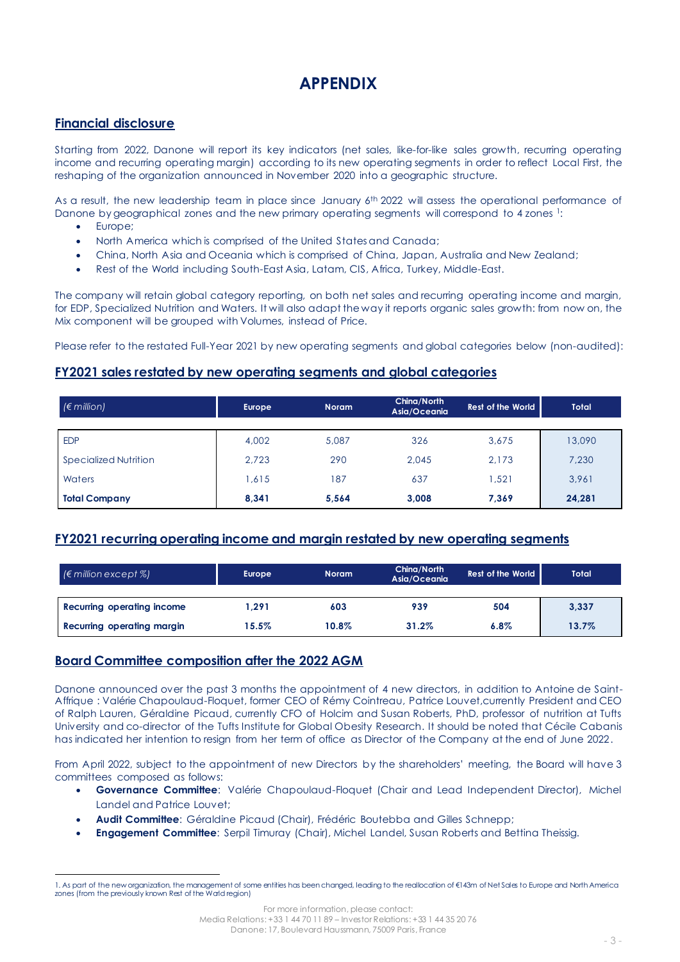# **APPENDIX**

## **Financial disclosure**

Starting from 2022, Danone will report its key indicators (net sales, like-for-like sales growth, recurring operating income and recurring operating margin) according to its new operating segments in order to reflect Local First, the reshaping of the organization announced in November 2020 into a geographic structure.

As a result, the new leadership team in place since January 6<sup>th</sup> 2022 will assess the operational performance of Danone by geographical zones and the new primary operating segments will correspond to 4 zones 1:

- Europe;
- North America which is comprised of the United Statesand Canada;
- China, North Asia and Oceania which is comprised of China, Japan, Australia and New Zealand;
- Rest of the World including South-East Asia, Latam, CIS, Africa, Turkey, Middle-East.

The company will retain global category reporting, on both net sales and recurring operating income and margin, for EDP, Specialized Nutrition and Waters. It will also adapt the way it reports organic sales growth: from now on, the Mix component will be grouped with Volumes, instead of Price.

Please refer to the restated Full-Year 2021 by new operating segments and global categories below (non-audited):

## **FY2021 sales restated by new operating segments and global categories**

| $\epsilon$ million)   | <b>Europe</b> | <b>Noram</b> | China/North<br>Asia/Oceania | <b>Rest of the World</b> | <b>Total</b> |
|-----------------------|---------------|--------------|-----------------------------|--------------------------|--------------|
|                       |               |              |                             |                          |              |
| <b>EDP</b>            | 4,002         | 5.087        | 326                         | 3,675                    | 13,090       |
| Specialized Nutrition | 2.723         | 290          | 2,045                       | 2,173                    | 7,230        |
| Waters                | 1,615         | 187          | 637                         | .521                     | 3,961        |
| <b>Total Company</b>  | 8.341         | 5.564        | 3,008                       | 7.369                    | 24,281       |

## **FY2021 recurring operating income and margin restated by new operating segments**

| $\mathcal{C} \in \mathbb{C}$ (Emillion except $\mathcal{C}$ ) | Europe   | <b>Noram</b> | China/North<br>Asia/Oceania | <b>Rest of the World</b> | <b>Total</b> |
|---------------------------------------------------------------|----------|--------------|-----------------------------|--------------------------|--------------|
|                                                               |          |              |                             |                          |              |
| Recurring operating income                                    | .291     | 603          | 939                         | 504                      | 3,337        |
| Recurring operating margin                                    | $15.5\%$ | 10.8%        | 31.2%                       | 6.8%                     | 13.7%        |

### **Board Committee composition after the 2022 AGM**

Danone announced over the past 3 months the appointment of 4 new directors, in addition to Antoine de Saint-Affrique : Valérie Chapoulaud-Floquet, former CEO of Rémy Cointreau, Patrice Louvet,currently President and CEO of Ralph Lauren, Géraldine Picaud, currently CFO of Holcim and Susan Roberts, PhD, professor of nutrition at Tufts University and co-director of the Tufts Institute for Global Obesity Research. It should be noted that Cécile Cabanis has indicated her intention to resign from her term of office as Director of the Company at the end of June 2022.

From April 2022, subject to the appointment of new Directors by the shareholders' meeting, the Board will have 3 committees composed as follows:

- **Governance Committee**: Valérie Chapoulaud-Floquet (Chair and Lead Independent Director), Michel Landel and Patrice Louvet;
- **Audit Committee**: Géraldine Picaud (Chair), Frédéric Boutebba and Gilles Schnepp;
- **Engagement Committee**: Serpil Timuray (Chair), Michel Landel, Susan Roberts and Bettina Theissig.

For more information, please contact:

Media Relations: +33 1 44 70 11 89 – InvestorRelations: +33 1 44 35 20 76

Danone: 17, Boulevard Haussmann, 75009 Paris, France

<sup>1.</sup> As part of the new organization, the management of some entities has beenchanged, leading to the reallocation of €143m of Net Sales to Europe and North America zones (from the previously known Rest of the World region)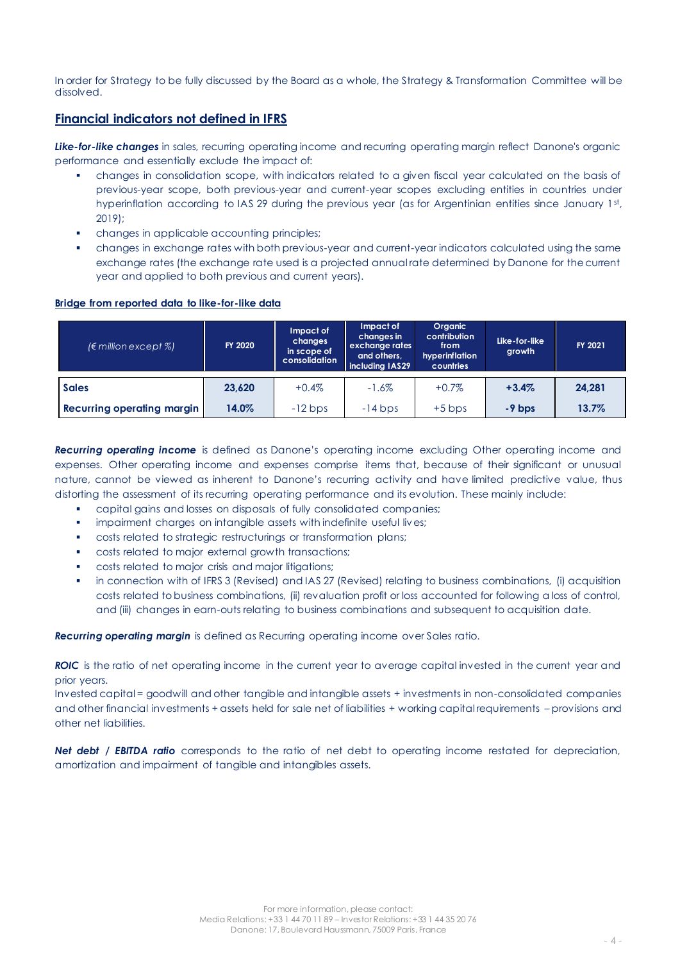In order for Strategy to be fully discussed by the Board as a whole, the Strategy & Transformation Committee will be dissolved.

### **Financial indicators not defined in IFRS**

**Like-for-like changes** in sales, recurring operating income and recurring operating margin reflect Danone's organic performance and essentially exclude the impact of:

- changes in consolidation scope, with indicators related to a given fiscal year calculated on the basis of previous-year scope, both previous-year and current-year scopes excluding entities in countries under hyperinflation according to IAS 29 during the previous year (as for Argentinian entities since January 1st, 2019);
- changes in applicable accounting principles;
- changes in exchange rates with both previous-year and current-year indicators calculated using the same exchange rates (the exchange rate used is a projected annual rate determined by Danone for the current year and applied to both previous and current years).

#### **Bridge from reported data to like-for-like data**

| $(\epsilon$ million except %)     | <b>FY 2020</b> | Impact of<br>changes<br>in scope of<br>consolidation | Impact of<br>changes in<br>exchange rates<br>and others,<br>including IAS29 | <b>Organic</b><br>contribution<br>from<br>hyperinflation<br>countries | Like-for-like<br>growth | FY 2021 |
|-----------------------------------|----------------|------------------------------------------------------|-----------------------------------------------------------------------------|-----------------------------------------------------------------------|-------------------------|---------|
| <b>Sales</b>                      | 23,620         | $+0.4%$                                              | $-1.6\%$                                                                    | $+0.7\%$                                                              | $+3.4%$                 | 24,281  |
| <b>Recurring operating margin</b> | 14.0%          | $-12$ bps                                            | $-14$ bps                                                                   | $+5$ bps                                                              | $-9$ bps                | 13.7%   |

*Recurring operating income* is defined as Danone's operating income excluding Other operating income and expenses. Other operating income and expenses comprise items that, because of their significant or unusual nature, cannot be viewed as inherent to Danone's recurring activity and have limited predictive value, thus distorting the assessment of its recurring operating performance and its evolution. These mainly include:

- capital gains and losses on disposals of fully consolidated companies;
- impairment charges on intangible assets with indefinite useful lives;
- costs related to strategic restructurings or transformation plans;
- costs related to major external growth transactions;
- costs related to major crisis and major litigations;
- in connection with of IFRS 3 (Revised) and IAS 27 (Revised) relating to business combinations, (i) acquisition costs related to business combinations, (ii) revaluation profit or loss accounted for following a loss of control, and (iii) changes in earn-outs relating to business combinations and subsequent to acquisition date.

*Recurring operating margin* is defined as Recurring operating income over Sales ratio.

**ROIC** is the ratio of net operating income in the current year to average capital invested in the current year and prior years.

Invested capital = goodwill and other tangible and intangible assets + investments in non-consolidated companies and other financial investments + assets held for sale net of liabilities + working capital requirements – provisions and other net liabilities.

*Net debt / EBITDA ratio* corresponds to the ratio of net debt to operating income restated for depreciation, amortization and impairment of tangible and intangibles assets.